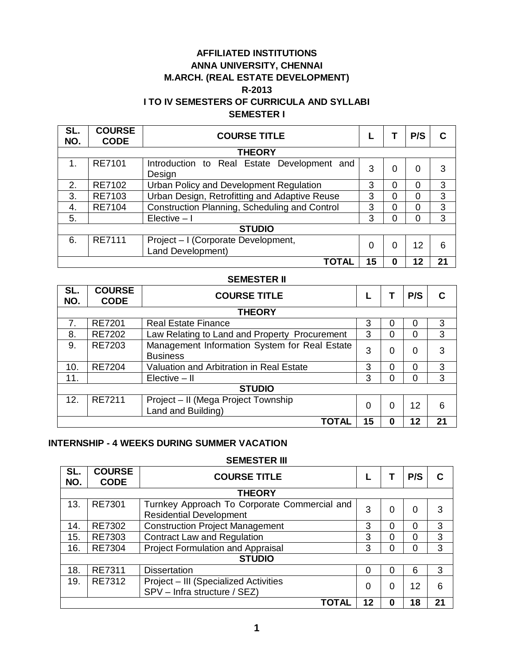# **AFFILIATED INSTITUTIONS ANNA UNIVERSITY, CHENNAI M.ARCH. (REAL ESTATE DEVELOPMENT) R-2013 I TO IV SEMESTERS OF CURRICULA AND SYLLABI SEMESTER I**

| SL.<br>NO.    | <b>COURSE</b><br><b>CODE</b> | <b>COURSE TITLE</b>                                      |    |   | P/S | C  |
|---------------|------------------------------|----------------------------------------------------------|----|---|-----|----|
|               |                              | <b>THEORY</b>                                            |    |   |     |    |
| $\mathbf 1$ . | <b>RE7101</b>                | Introduction to Real Estate Development<br>and<br>Design | 3  | 0 | 0   | 3  |
| 2.            | RE7102                       | Urban Policy and Development Regulation                  | 3  | 0 | 0   | 3  |
| 3.            | RE7103                       | Urban Design, Retrofitting and Adaptive Reuse            | 3  | 0 | 0   | 3  |
| 4.            | <b>RE7104</b>                | Construction Planning, Scheduling and Control            | 3  | 0 | 0   | 3  |
| 5.            |                              | Elective $-1$                                            | 3  | ი | 0   | 3  |
|               |                              | <b>STUDIO</b>                                            |    |   |     |    |
| 6.            | <b>RE7111</b>                | Project - I (Corporate Development,<br>Land Development) | 0  | 0 | 12  | 6  |
|               |                              | TOTAL                                                    | 15 | 0 | 12  | 21 |

### **SEMESTER II**

| SL.<br>NO. | <b>COURSE</b><br><b>CODE</b> | <b>COURSE TITLE</b>                                              |    |          | P/S | С  |
|------------|------------------------------|------------------------------------------------------------------|----|----------|-----|----|
|            |                              | <b>THEORY</b>                                                    |    |          |     |    |
| 7.         | <b>RE7201</b>                | <b>Real Estate Finance</b>                                       | 3  | 0        | Ω   | 3  |
| 8.         | <b>RE7202</b>                | Law Relating to Land and Property Procurement                    | 3  | 0        | 0   | 3  |
| 9.         | RE7203                       | Management Information System for Real Estate<br><b>Business</b> | 3  | 0        | 0   | 3  |
| 10.        | <b>RE7204</b>                | Valuation and Arbitration in Real Estate                         | 3  | 0        |     | 3  |
| 11.        |                              | $Electric - II$                                                  | 3  | 0        |     | 3  |
|            |                              | <b>STUDIO</b>                                                    |    |          |     |    |
| 12.        | RE7211                       | Project - II (Mega Project Township<br>Land and Building)        | 0  | $\Omega$ | 12  | 6  |
|            |                              | TOTAL                                                            | 15 | 0        | 12  | 21 |

# **INTERNSHIP - 4 WEEKS DURING SUMMER VACATION**

### **SEMESTER III**

| SL.<br>NO. | <b>COURSE</b><br><b>CODE</b> | <b>COURSE TITLE</b>                                                            |    |   | P/S      |    |
|------------|------------------------------|--------------------------------------------------------------------------------|----|---|----------|----|
|            |                              | <b>THEORY</b>                                                                  |    |   |          |    |
| 13.        | <b>RE7301</b>                | Turnkey Approach To Corporate Commercial and<br><b>Residential Development</b> | 3  | 0 | 0        | 3  |
| 14.        | RE7302                       | <b>Construction Project Management</b>                                         | 3  |   | $\Omega$ | 3  |
| 15.        | RE7303                       | <b>Contract Law and Regulation</b>                                             | 3  | ი | $\Omega$ | 3  |
| 16.        | <b>RE7304</b>                | <b>Project Formulation and Appraisal</b>                                       | 3  |   | $\Omega$ | 3  |
|            |                              | <b>STUDIO</b>                                                                  |    |   |          |    |
| 18.        | RE7311                       | <b>Dissertation</b>                                                            | 0  |   | 6        | 3  |
| 19.        | RE7312                       | Project - III (Specialized Activities<br>SPV - Infra structure / SEZ)          | 0  |   | 12       | 6  |
|            |                              | ΤΟΤΑΙ                                                                          | 12 |   | 18       | 21 |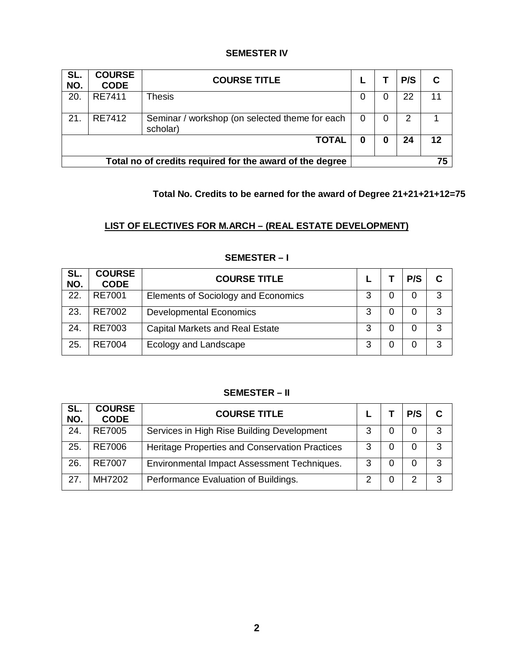# **SEMESTER IV**

| SL.<br>NO.                                               | <b>COURSE</b><br><b>CODE</b> | <b>COURSE TITLE</b>                                        |   |   | P/S |    |
|----------------------------------------------------------|------------------------------|------------------------------------------------------------|---|---|-----|----|
| 20.                                                      | RE7411                       | Thesis                                                     | 0 | 0 | 22  |    |
| 21.                                                      | RE7412                       | Seminar / workshop (on selected theme for each<br>scholar) | 0 | 0 | 2   |    |
|                                                          |                              | <b>TOTAL</b>                                               | 0 | 0 | 24  | 12 |
| Total no of credits required for the award of the degree |                              |                                                            |   |   |     | 75 |

# **Total No. Credits to be earned for the award of Degree 21+21+21+12=75**

# **LIST OF ELECTIVES FOR M.ARCH – (REAL ESTATE DEVELOPMENT)**

| SL.<br>NO. | <b>COURSE</b><br><b>CODE</b> | <b>COURSE TITLE</b>                    |   | P/S |   |
|------------|------------------------------|----------------------------------------|---|-----|---|
| 22.        | RE7001                       | Elements of Sociology and Economics    | 3 | 0   | 3 |
| 23.        | RE7002                       | <b>Developmental Economics</b>         | 3 |     | 3 |
| 24.        | RE7003                       | <b>Capital Markets and Real Estate</b> | 3 | 0   | 3 |
| 25.        | RE7004                       | Ecology and Landscape                  | 3 |     | 3 |

# **SEMESTER – I**

# **SEMESTER – II**

| SL.<br>NO. | <b>COURSE</b><br><b>CODE</b> | <b>COURSE TITLE</b>                            |   | P/S | С |
|------------|------------------------------|------------------------------------------------|---|-----|---|
| 24.        | <b>RE7005</b>                | Services in High Rise Building Development     | З | 0   | 3 |
| 25.        | <b>RE7006</b>                | Heritage Properties and Conservation Practices | 3 | 0   | 3 |
| 26.        | <b>RE7007</b>                | Environmental Impact Assessment Techniques.    | 3 | 0   | 3 |
| 27         | MH7202                       | Performance Evaluation of Buildings.           |   |     | 3 |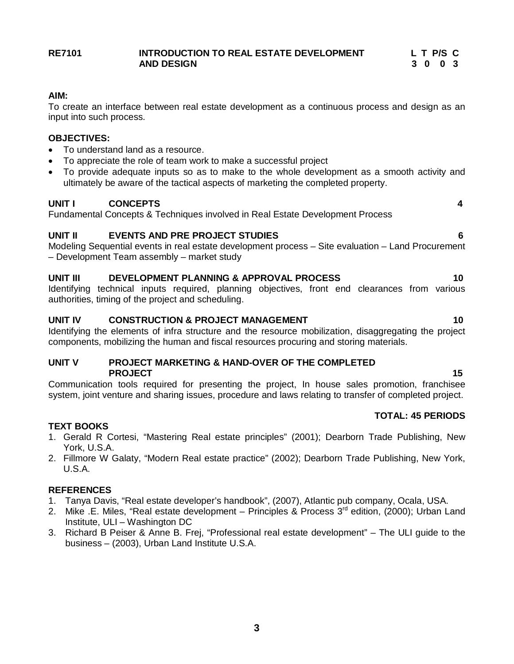### **RE7101 INTRODUCTION TO REAL ESTATE DEVELOPMENT L T P/S C AND DESIGN 3 0 0 3**

# **AIM:**

To create an interface between real estate development as a continuous process and design as an input into such process.

# **OBJECTIVES:**

- To understand land as a resource.
- To appreciate the role of team work to make a successful project
- To provide adequate inputs so as to make to the whole development as a smooth activity and ultimately be aware of the tactical aspects of marketing the completed property.

# **UNIT I CONCEPTS 4**

Fundamental Concepts & Techniques involved in Real Estate Development Process

# **UNIT II EVENTS AND PRE PROJECT STUDIES 6**

Modeling Sequential events in real estate development process – Site evaluation – Land Procurement – Development Team assembly – market study

# **UNIT III DEVELOPMENT PLANNING & APPROVAL PROCESS 10**

Identifying technical inputs required, planning objectives, front end clearances from various authorities, timing of the project and scheduling.

# **UNIT IV CONSTRUCTION & PROJECT MANAGEMENT 10 10**

Identifying the elements of infra structure and the resource mobilization, disaggregating the project components, mobilizing the human and fiscal resources procuring and storing materials.

### **UNIT V PROJECT MARKETING & HAND-OVER OF THE COMPLETED PROJECT** 25 and 25 and 25 and 25 and 25 and 25 and 25 and 25 and 25 and 25 and 25 and 25 and 25 and 25 and 25 and 25 and 25 and 25 and 25 and 25 and 25 and 25 and 25 and 25 and 25 and 25 and 25 and 25 and 25 and 25 and 25

Communication tools required for presenting the project, In house sales promotion, franchisee system, joint venture and sharing issues, procedure and laws relating to transfer of completed project.

# **TEXT BOOKS**

- 1. Gerald R Cortesi, "Mastering Real estate principles" (2001); Dearborn Trade Publishing, New York, U.S.A.
- 2. Fillmore W Galaty, "Modern Real estate practice" (2002); Dearborn Trade Publishing, New York, U.S.A.

# **REFERENCES**

- 1. Tanya Davis, "Real estate developer's handbook", (2007), Atlantic pub company, Ocala, USA.
- 2. Mike .E. Miles, "Real estate development Principles & Process  $3<sup>rd</sup>$  edition, (2000); Urban Land Institute, ULI – Washington DC
- 3. Richard B Peiser & Anne B. Frej, "Professional real estate development" The ULI guide to the business – (2003), Urban Land Institute U.S.A.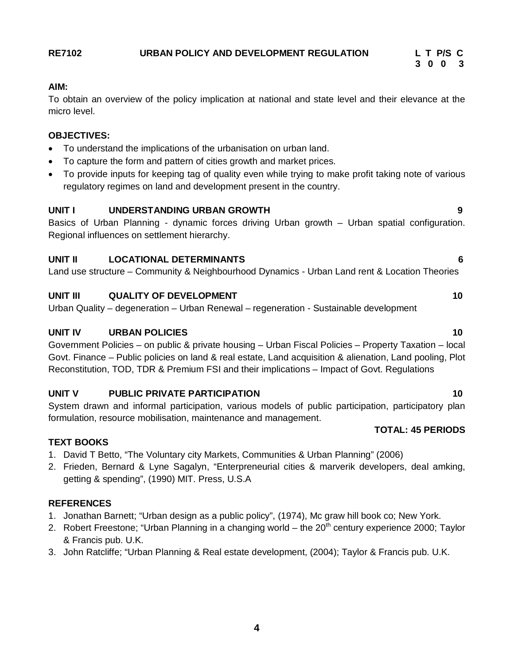# **RE7102 URBAN POLICY AND DEVELOPMENT REGULATION L T P/S C**

# **AIM:**

To obtain an overview of the policy implication at national and state level and their elevance at the micro level.

### **OBJECTIVES:**

- To understand the implications of the urbanisation on urban land.
- To capture the form and pattern of cities growth and market prices.
- To provide inputs for keeping tag of quality even while trying to make profit taking note of various regulatory regimes on land and development present in the country.

# **UNIT I UNDERSTANDING URBAN GROWTH 9**

Basics of Urban Planning - dynamic forces driving Urban growth – Urban spatial configuration. Regional influences on settlement hierarchy.

# **UNIT II LOCATIONAL DETERMINANTS 6**

Land use structure – Community & Neighbourhood Dynamics - Urban Land rent & Location Theories

# **UNIT III** QUALITY OF DEVELOPMENT 2004

Urban Quality – degeneration – Urban Renewal – regeneration - Sustainable development

# **UNIT IV URBAN POLICIES 10**

Government Policies – on public & private housing – Urban Fiscal Policies – Property Taxation – local Govt. Finance – Public policies on land & real estate, Land acquisition & alienation, Land pooling, Plot Reconstitution, TOD, TDR & Premium FSI and their implications – Impact of Govt. Regulations

# **UNIT V PUBLIC PRIVATE PARTICIPATION 10**

System drawn and informal participation, various models of public participation, participatory plan formulation, resource mobilisation, maintenance and management.

### **TEXT BOOKS**

- 1. David T Betto, "The Voluntary city Markets, Communities & Urban Planning" (2006)
- 2. Frieden, Bernard & Lyne Sagalyn, "Enterpreneurial cities & marverik developers, deal amking, getting & spending", (1990) MIT. Press, U.S.A

# **REFERENCES**

- 1. Jonathan Barnett; "Urban design as a public policy", (1974), Mc graw hill book co; New York.
- 2. Robert Freestone; "Urban Planning in a changing world the  $20<sup>th</sup>$  century experience 2000; Taylor & Francis pub. U.K.
- 3. John Ratcliffe; "Urban Planning & Real estate development, (2004); Taylor & Francis pub. U.K.

# **3 0 0 3**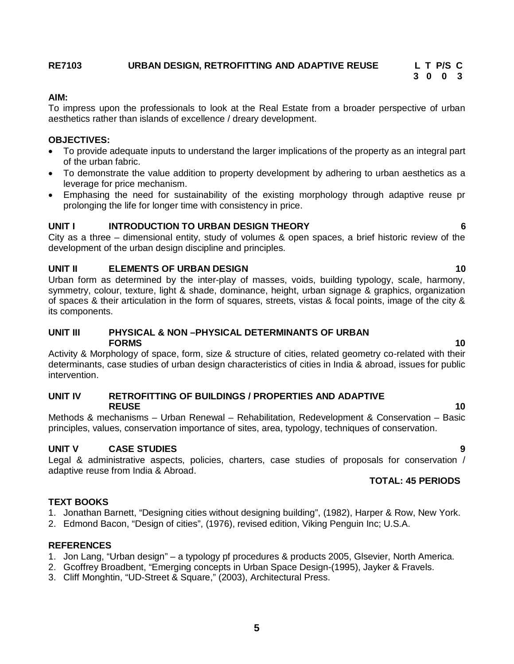# **RE7103 URBAN DESIGN, RETROFITTING AND ADAPTIVE REUSE L T P/S C**

### **AIM:**

To impress upon the professionals to look at the Real Estate from a broader perspective of urban aesthetics rather than islands of excellence / dreary development.

 **3 0 0 3**

### **OBJECTIVES:**

- To provide adequate inputs to understand the larger implications of the property as an integral part of the urban fabric.
- To demonstrate the value addition to property development by adhering to urban aesthetics as a leverage for price mechanism.
- Emphasing the need for sustainability of the existing morphology through adaptive reuse pr prolonging the life for longer time with consistency in price.

# **UNIT I INTRODUCTION TO URBAN DESIGN THEORY 6**

City as a three – dimensional entity, study of volumes & open spaces, a brief historic review of the development of the urban design discipline and principles.

# **UNIT II ELEMENTS OF URBAN DESIGN 10**

Urban form as determined by the inter-play of masses, voids, building typology, scale, harmony, symmetry, colour, texture, light & shade, dominance, height, urban signage & graphics, organization of spaces & their articulation in the form of squares, streets, vistas & focal points, image of the city & its components.

### **UNIT III PHYSICAL & NON –PHYSICAL DETERMINANTS OF URBAN FORMS 10**

Activity & Morphology of space, form, size & structure of cities, related geometry co-related with their determinants, case studies of urban design characteristics of cities in India & abroad, issues for public intervention.

### **UNIT IV RETROFITTING OF BUILDINGS / PROPERTIES AND ADAPTIVE REUSE** 10

Methods & mechanisms – Urban Renewal – Rehabilitation, Redevelopment & Conservation – Basic principles, values, conservation importance of sites, area, typology, techniques of conservation.

### **UNIT V CASE STUDIES 9**

Legal & administrative aspects, policies, charters, case studies of proposals for conservation / adaptive reuse from India & Abroad.

# **TOTAL: 45 PERIODS**

# **TEXT BOOKS**

- 1. Jonathan Barnett, "Designing cities without designing building", (1982), Harper & Row, New York.
- 2. Edmond Bacon, "Design of cities", (1976), revised edition, Viking Penguin Inc; U.S.A.

### **REFERENCES**

- 1. Jon Lang, "Urban design" a typology pf procedures & products 2005, Glsevier, North America.
- 2. Gcoffrey Broadbent, "Emerging concepts in Urban Space Design-(1995), Jayker & Fravels.
- 3. Cliff Monghtin, "UD-Street & Square," (2003), Architectural Press.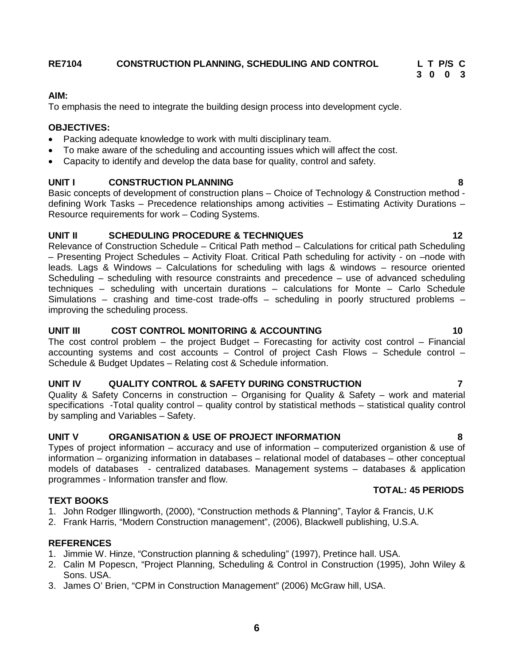# **3 0 0 3**

### **AIM:**

To emphasis the need to integrate the building design process into development cycle.

# **OBJECTIVES:**

- Packing adequate knowledge to work with multi disciplinary team.
- To make aware of the scheduling and accounting issues which will affect the cost.
- Capacity to identify and develop the data base for quality, control and safety.

# **UNIT I CONSTRUCTION PLANNING 8**

Basic concepts of development of construction plans – Choice of Technology & Construction method defining Work Tasks – Precedence relationships among activities – Estimating Activity Durations – Resource requirements for work – Coding Systems.

# **UNIT II SCHEDULING PROCEDURE & TECHNIQUES 12**

Relevance of Construction Schedule – Critical Path method – Calculations for critical path Scheduling – Presenting Project Schedules – Activity Float. Critical Path scheduling for activity - on –node with leads. Lags & Windows – Calculations for scheduling with lags & windows – resource oriented Scheduling – scheduling with resource constraints and precedence – use of advanced scheduling techniques – scheduling with uncertain durations – calculations for Monte – Carlo Schedule Simulations – crashing and time-cost trade-offs – scheduling in poorly structured problems – improving the scheduling process.

# **UNIT III COST CONTROL MONITORING & ACCOUNTING 10**

The cost control problem – the project Budget – Forecasting for activity cost control – Financial accounting systems and cost accounts – Control of project Cash Flows – Schedule control – Schedule & Budget Updates – Relating cost & Schedule information.

# **UNIT IV QUALITY CONTROL & SAFETY DURING CONSTRUCTION 7**

Quality & Safety Concerns in construction – Organising for Quality & Safety – work and material specifications -Total quality control – quality control by statistical methods – statistical quality control by sampling and Variables – Safety.

# **UNIT V ORGANISATION & USE OF PROJECT INFORMATION 8**

Types of project information – accuracy and use of information – computerized organistion & use of information – organizing information in databases – relational model of databases – other conceptual models of databases - centralized databases. Management systems – databases & application programmes - Information transfer and flow.

# **TEXT BOOKS**

- 1. John Rodger Illingworth, (2000), "Construction methods & Planning", Taylor & Francis, U.K
- 2. Frank Harris, "Modern Construction management", (2006), Blackwell publishing, U.S.A.

# **REFERENCES**

- 1. Jimmie W. Hinze, "Construction planning & scheduling" (1997), Pretince hall. USA.
- 2. Calin M Popescn, "Project Planning, Scheduling & Control in Construction (1995), John Wiley & Sons. USA.
- 3. James O' Brien, "CPM in Construction Management" (2006) McGraw hill, USA.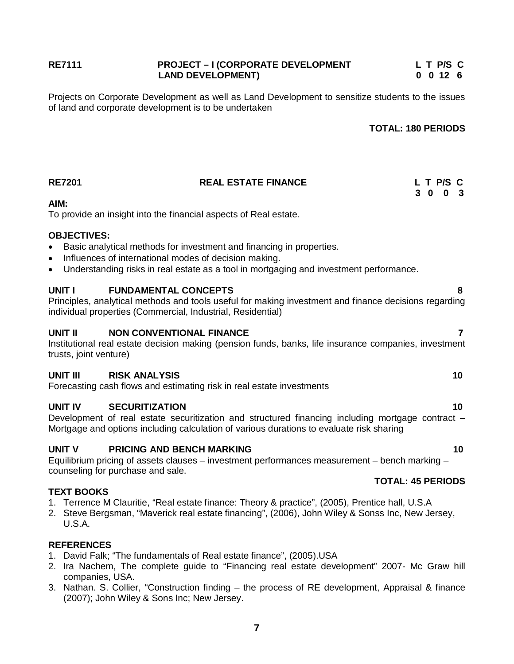### RE7111 **REFAULD PROJECT – I** (CORPORATE DEVELOPMENT L T P/S C<br>LAND DEVELOPMENT) LAND 12 6 **LAND DEVELOPMENT)**

Projects on Corporate Development as well as Land Development to sensitize students to the issues of land and corporate development is to be undertaken

### **TOTAL: 180 PERIODS**

| <b>RE7201</b>                                             | <b>REAL ESTATE FINANCE</b>                                                                                                                                                                                              |  | L T P/S C<br>3 0 0 3 |
|-----------------------------------------------------------|-------------------------------------------------------------------------------------------------------------------------------------------------------------------------------------------------------------------------|--|----------------------|
| AIM:                                                      | To provide an insight into the financial aspects of Real estate.                                                                                                                                                        |  |                      |
| <b>OBJECTIVES:</b><br>$\bullet$<br>$\bullet$<br>$\bullet$ | Basic analytical methods for investment and financing in properties.<br>Influences of international modes of decision making.<br>Understanding risks in real estate as a tool in mortgaging and investment performance. |  |                      |
| UNIT I                                                    | <b>FUNDAMENTAL CONCEPTS</b><br>Principles, analytical methods and tools useful for making investment and finance decisions regarding<br>individual properties (Commercial, Industrial, Residential)                     |  | 8                    |
| <b>UNIT II</b><br>trusts, joint venture)                  | <b>NON CONVENTIONAL FINANCE</b><br>Institutional real estate decision making (pension funds, banks, life insurance companies, investment                                                                                |  | 7                    |
| <b>UNIT III</b>                                           | <b>RISK ANALYSIS</b><br>Forecasting cash flows and estimating risk in real estate investments                                                                                                                           |  | 10                   |
| UNIT IV                                                   | <b>SECURITIZATION</b><br>Development of real estate securitization and structured financing including mortgage contract -<br>Mortgage and options including calculation of various durations to evaluate risk sharing   |  | 10                   |
| <b>UNIT V</b>                                             | <b>PRICING AND BENCH MARKING</b><br>Equilibrium pricing of assets clauses – investment performances measurement – bench marking –<br>counseling for purchase and sale.                                                  |  | 10                   |
| <b>TEXT BOOKS</b>                                         | <b>TOTAL: 45 PERIODS</b>                                                                                                                                                                                                |  |                      |
| <b>U.S.A.</b>                                             | 1. Terrence M Clauritie, "Real estate finance: Theory & practice", (2005), Prentice hall, U.S.A<br>2. Steve Bergsman, "Maverick real estate financing", (2006), John Wiley & Sonss Inc, New Jersey,                     |  |                      |

# **REFERENCES**

- 1. David Falk; "The fundamentals of Real estate finance", (2005).USA
- 2. Ira Nachem, The complete guide to "Financing real estate development" 2007- Mc Graw hill companies, USA.
- 3. Nathan. S. Collier, "Construction finding the process of RE development, Appraisal & finance (2007); John Wiley & Sons Inc; New Jersey.

**7**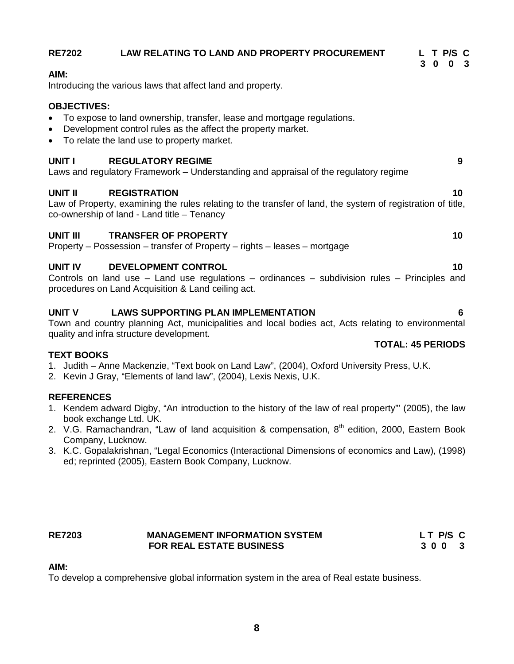|                                                                                                                                                                                                                                              |                          | 3 0 0 3 |                 |   |
|----------------------------------------------------------------------------------------------------------------------------------------------------------------------------------------------------------------------------------------------|--------------------------|---------|-----------------|---|
| AIM:<br>Introducing the various laws that affect land and property.                                                                                                                                                                          |                          |         |                 |   |
| <b>OBJECTIVES:</b><br>To expose to land ownership, transfer, lease and mortgage regulations.<br>$\bullet$<br>Development control rules as the affect the property market.<br>$\bullet$<br>• To relate the land use to property market.       |                          |         |                 |   |
| <b>REGULATORY REGIME</b><br>UNIT I<br>Laws and regulatory Framework - Understanding and appraisal of the regulatory regime                                                                                                                   |                          |         |                 | 9 |
| <b>UNIT II</b><br><b>REGISTRATION</b><br>Law of Property, examining the rules relating to the transfer of land, the system of registration of title,<br>co-ownership of land - Land title - Tenancy                                          |                          |         | 10              |   |
| <b>UNIT III</b><br><b>TRANSFER OF PROPERTY</b><br>Property – Possession – transfer of Property – rights – leases – mortgage                                                                                                                  |                          |         | 10              |   |
| UNIT IV<br><b>DEVELOPMENT CONTROL</b><br>Controls on land use - Land use regulations - ordinances - subdivision rules - Principles and<br>procedures on Land Acquisition & Land ceiling act.                                                 |                          |         | 10 <sup>1</sup> |   |
| <b>UNIT V</b><br><b>LAWS SUPPORTING PLAN IMPLEMENTATION</b><br>Town and country planning Act, municipalities and local bodies act, Acts relating to environmental<br>quality and infra structure development.                                |                          |         |                 | 6 |
|                                                                                                                                                                                                                                              | <b>TOTAL: 45 PERIODS</b> |         |                 |   |
| <b>TEXT BOOKS</b><br>1. Judith – Anne Mackenzie, "Text book on Land Law", (2004), Oxford University Press, U.K.<br>2. Kevin J Gray, "Elements of land law", (2004), Lexis Nexis, U.K.                                                        |                          |         |                 |   |
| <b>REFERENCES</b>                                                                                                                                                                                                                            |                          |         |                 |   |
| 1. Kendem adward Digby, "An introduction to the history of the law of real property" (2005), the law<br>book exchange Ltd. UK.<br>2. V.G. Ramachandran, "Law of land acquisition & compensation, 8 <sup>th</sup> edition, 2000, Eastern Book |                          |         |                 |   |
| Company, Lucknow.                                                                                                                                                                                                                            |                          |         |                 |   |
| 3. K.C. Gopalakrishnan, "Legal Economics (Interactional Dimensions of economics and Law), (1998)<br>ed; reprinted (2005), Eastern Book Company, Lucknow.                                                                                     |                          |         |                 |   |

### RE7203 **MANAGEMENT INFORMATION SYSTEM** LT P/S C<br>FOR REAL ESTATE BUSINESS 3 0 0 3  **FOR REAL ESTATE BUSINESS**

# **AIM:**

To develop a comprehensive global information system in the area of Real estate business.

# RE7202 LAW RELATING TO LAND AND PROPERTY PROCUREMENT L T P/S C<br>3 0 0 3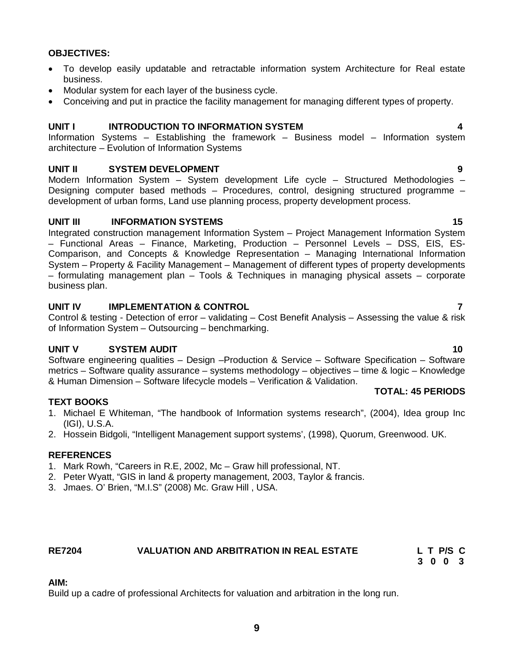### **OBJECTIVES:**

- To develop easily updatable and retractable information system Architecture for Real estate business.
- Modular system for each layer of the business cycle.
- Conceiving and put in practice the facility management for managing different types of property.

# **UNIT I INTRODUCTION TO INFORMATION SYSTEM 4**

Information Systems – Establishing the framework – Business model – Information system architecture – Evolution of Information Systems

### **UNIT II SYSTEM DEVELOPMENT 9**

Modern Information System – System development Life cycle – Structured Methodologies – Designing computer based methods – Procedures, control, designing structured programme – development of urban forms, Land use planning process, property development process.

### **UNIT III INFORMATION SYSTEMS 15**

Integrated construction management Information System – Project Management Information System – Functional Areas – Finance, Marketing, Production – Personnel Levels – DSS, EIS, ES-Comparison, and Concepts & Knowledge Representation – Managing International Information System – Property & Facility Management – Management of different types of property developments – formulating management plan – Tools & Techniques in managing physical assets – corporate business plan.

### **UNIT IV IMPLEMENTATION & CONTROL 7**

Control & testing - Detection of error – validating – Cost Benefit Analysis – Assessing the value & risk of Information System – Outsourcing – benchmarking.

# **UNIT V SYSTEM AUDIT 10**

Software engineering qualities – Design –Production & Service – Software Specification – Software metrics – Software quality assurance – systems methodology – objectives – time & logic – Knowledge & Human Dimension – Software lifecycle models – Verification & Validation.

### **TEXT BOOKS**

- 1. Michael E Whiteman, "The handbook of Information systems research", (2004), Idea group Inc (IGI), U.S.A.
- 2. Hossein Bidgoli, "Intelligent Management support systems', (1998), Quorum, Greenwood. UK.

### **REFERENCES**

- 1. Mark Rowh, "Careers in R.E, 2002, Mc Graw hill professional, NT.
- 2. Peter Wyatt, "GIS in land & property management, 2003, Taylor & francis.
- 3. Jmaes. O' Brien, "M.I.S" (2008) Mc. Graw Hill , USA.

# **RE7204 VALUATION AND ARBITRATION IN REAL ESTATE L T P/S C**

# **AIM:**

Build up a cadre of professional Architects for valuation and arbitration in the long run.

# **TOTAL: 45 PERIODS**

# **3 0 0 3**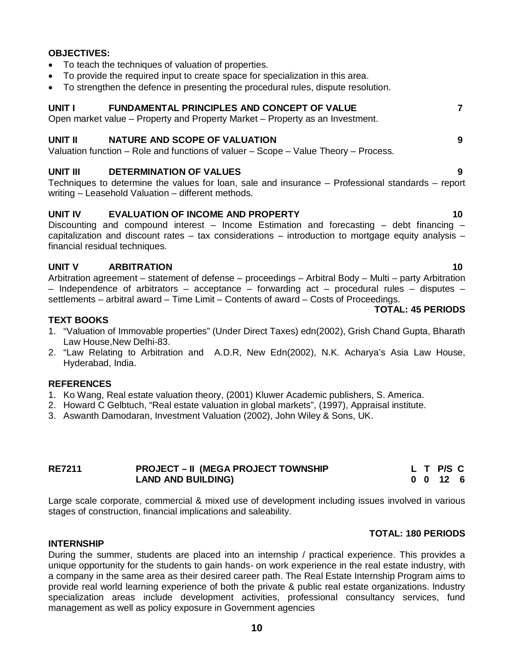# **OBJECTIVES:**

- To teach the techniques of valuation of properties.
- To provide the required input to create space for specialization in this area.
- To strengthen the defence in presenting the procedural rules, dispute resolution.

### **UNIT I FUNDAMENTAL PRINCIPLES AND CONCEPT OF VALUE 7**

Open market value – Property and Property Market – Property as an Investment.

# **UNIT II NATURE AND SCOPE OF VALUATION 9**

Valuation function – Role and functions of valuer – Scope – Value Theory – Process.

### **UNIT III DETERMINATION OF VALUES 9**

Techniques to determine the values for loan, sale and insurance – Professional standards – report writing – Leasehold Valuation – different methods.

### **UNIT IV EVALUATION OF INCOME AND PROPERTY 10**

Discounting and compound interest – Income Estimation and forecasting – debt financing – capitalization and discount rates  $-$  tax considerations  $-$  introduction to mortgage equity analysis  $$ financial residual techniques.

### **UNIT V ARBITRATION 10**

Arbitration agreement – statement of defense – proceedings – Arbitral Body – Multi – party Arbitration – Independence of arbitrators – acceptance – forwarding act – procedural rules – disputes – settlements – arbitral award – Time Limit – Contents of award – Costs of Proceedings.

### **TOTAL: 45 PERIODS**

### **TEXT BOOKS**

- 1. "Valuation of Immovable properties" (Under Direct Taxes) edn(2002), Grish Chand Gupta, Bharath Law House,New Delhi-83.
- 2. "Law Relating to Arbitration and A.D.R, New Edn(2002), N.K. Acharya's Asia Law House, Hyderabad, India.

### **REFERENCES**

- 1. Ko Wang, Real estate valuation theory, (2001) Kluwer Academic publishers, S. America.
- 2. Howard C Gelbtuch, "Real estate valuation in global markets", (1997), Appraisal institute.
- 3. Aswanth Damodaran, Investment Valuation (2002), John Wiley & Sons, UK.

| <b>RE7211</b> | <b>PROJECT – II (MEGA PROJECT TOWNSHIP</b> |  | L T P/S C        |  |
|---------------|--------------------------------------------|--|------------------|--|
|               | <b>LAND AND BUILDING)</b>                  |  | $0 \t0 \t12 \t6$ |  |

Large scale corporate, commercial & mixed use of development including issues involved in various stages of construction, financial implications and saleability.

### **TOTAL: 180 PERIODS**

### **INTERNSHIP**

During the summer, students are placed into an internship / practical experience. This provides a unique opportunity for the students to gain hands- on work experience in the real estate industry, with a company in the same area as their desired career path. The Real Estate Internship Program aims to provide real world learning experience of both the private & public real estate organizations. Industry specialization areas include development activities, professional consultancy services, fund management as well as policy exposure in Government agencies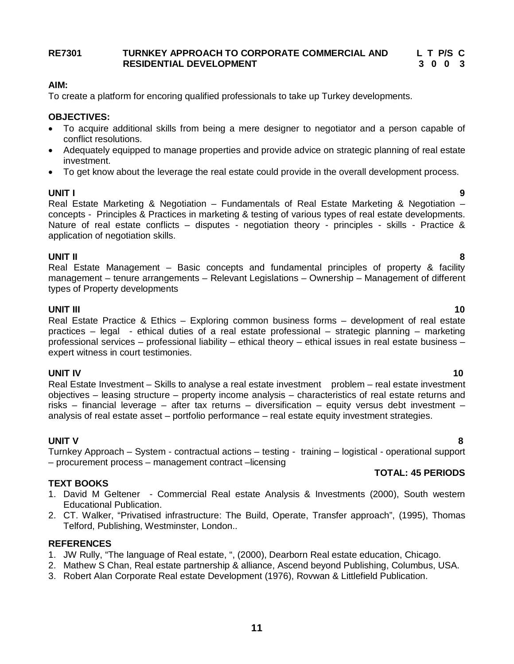# **RE7301 TURNKEY APPROACH TO CORPORATE COMMERCIAL AND L T P/S C RESIDENTIAL DEVELOPMENT**

# **AIM:**

To create a platform for encoring qualified professionals to take up Turkey developments.

# **OBJECTIVES:**

- To acquire additional skills from being a mere designer to negotiator and a person capable of conflict resolutions.
- Adequately equipped to manage properties and provide advice on strategic planning of real estate investment.
- To get know about the leverage the real estate could provide in the overall development process.

# **UNIT I 9**

Real Estate Marketing & Negotiation – Fundamentals of Real Estate Marketing & Negotiation – concepts - Principles & Practices in marketing & testing of various types of real estate developments. Nature of real estate conflicts – disputes - negotiation theory - principles - skills - Practice & application of negotiation skills.

**UNIT II 8** Real Estate Management – Basic concepts and fundamental principles of property & facility management – tenure arrangements – Relevant Legislations – Ownership – Management of different types of Property developments

**UNIT III** 10 Real Estate Practice & Ethics – Exploring common business forms – development of real estate practices – legal - ethical duties of a real estate professional – strategic planning – marketing professional services – professional liability – ethical theory – ethical issues in real estate business – expert witness in court testimonies.

**UNIT IV** 10 Real Estate Investment – Skills to analyse a real estate investment problem – real estate investment objectives – leasing structure – property income analysis – characteristics of real estate returns and risks – financial leverage – after tax returns – diversification – equity versus debt investment – analysis of real estate asset – portfolio performance – real estate equity investment strategies.

# **UNIT V 8**

Turnkey Approach – System - contractual actions – testing - training – logistical - operational support – procurement process – management contract –licensing

# **TEXT BOOKS**

- 1. David M Geltener Commercial Real estate Analysis & Investments (2000), South western Educational Publication.
- 2. CT. Walker, "Privatised infrastructure: The Build, Operate, Transfer approach", (1995), Thomas Telford, Publishing, Westminster, London..

# **REFERENCES**

- 1. JW Rully, "The language of Real estate, ", (2000), Dearborn Real estate education, Chicago.
- 2. Mathew S Chan, Real estate partnership & alliance, Ascend beyond Publishing, Columbus, USA.
- 3. Robert Alan Corporate Real estate Development (1976), Rovwan & Littlefield Publication.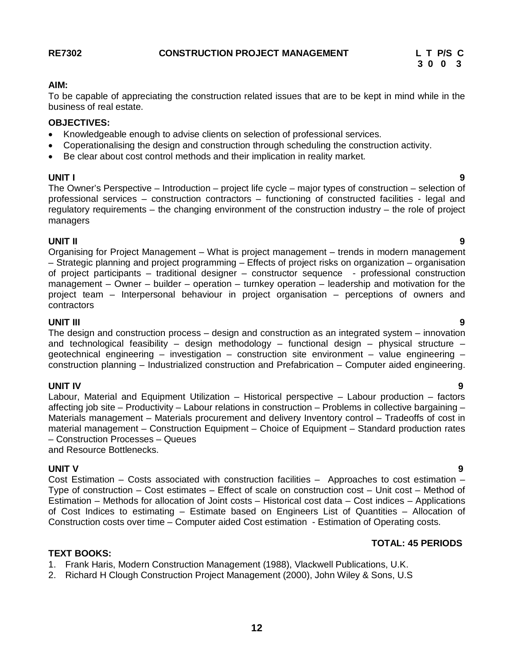# **AIM:**

To be capable of appreciating the construction related issues that are to be kept in mind while in the business of real estate.

# **OBJECTIVES:**

- Knowledgeable enough to advise clients on selection of professional services.
- Coperationalising the design and construction through scheduling the construction activity.
- Be clear about cost control methods and their implication in reality market.

### **UNIT I 9**

The Owner's Perspective – Introduction – project life cycle – major types of construction – selection of professional services – construction contractors – functioning of constructed facilities - legal and regulatory requirements – the changing environment of the construction industry – the role of project managers

# **UNIT II 9**

Organising for Project Management – What is project management – trends in modern management – Strategic planning and project programming – Effects of project risks on organization – organisation of project participants – traditional designer – constructor sequence - professional construction management – Owner – builder – operation – turnkey operation – leadership and motivation for the project team – Interpersonal behaviour in project organisation – perceptions of owners and contractors

# **UNIT III 9**

The design and construction process – design and construction as an integrated system – innovation and technological feasibility – design methodology – functional design – physical structure – geotechnical engineering – investigation – construction site environment – value engineering – construction planning – Industrialized construction and Prefabrication – Computer aided engineering.

# **UNIT IV 9**

Labour, Material and Equipment Utilization – Historical perspective – Labour production – factors affecting job site – Productivity – Labour relations in construction – Problems in collective bargaining – Materials management – Materials procurement and delivery Inventory control – Tradeoffs of cost in material management – Construction Equipment – Choice of Equipment – Standard production rates – Construction Processes – Queues

and Resource Bottlenecks.

**UNIT V 9** Cost Estimation – Costs associated with construction facilities – Approaches to cost estimation – Type of construction – Cost estimates – Effect of scale on construction cost – Unit cost – Method of Estimation – Methods for allocation of Joint costs – Historical cost data – Cost indices – Applications of Cost Indices to estimating – Estimate based on Engineers List of Quantities – Allocation of Construction costs over time – Computer aided Cost estimation - Estimation of Operating costs.

# **TOTAL: 45 PERIODS**

# **TEXT BOOKS:**

- 1. Frank Haris, Modern Construction Management (1988), Vlackwell Publications, U.K.
- 2. Richard H Clough Construction Project Management (2000), John Wiley & Sons, U.S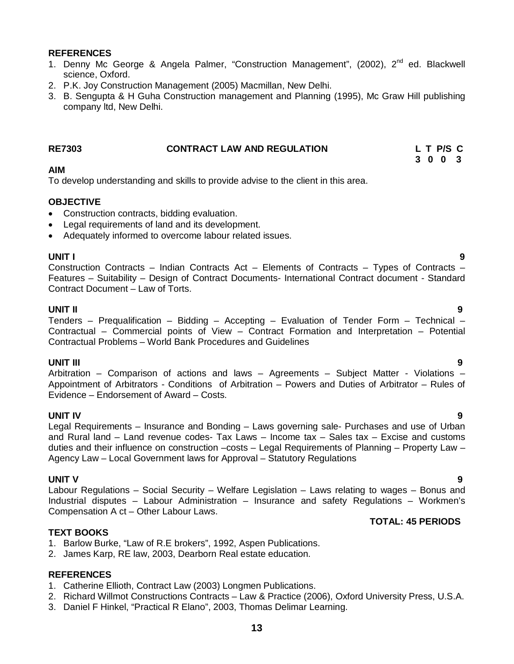### **REFERENCES**

- 1. Denny Mc George & Angela Palmer, "Construction Management", (2002), 2<sup>nd</sup> ed. Blackwell science, Oxford.
- 2. P.K. Joy Construction Management (2005) Macmillan, New Delhi.
- 3. B. Sengupta & H Guha Construction management and Planning (1995), Mc Graw Hill publishing company ltd, New Delhi.

| <b>RE7303</b> | <b>CONTRACT LAW AND REGULATION</b> | L T P/S C |  |  |
|---------------|------------------------------------|-----------|--|--|
|               |                                    | 3003      |  |  |

### **AIM**

To develop understanding and skills to provide advise to the client in this area.

### **OBJECTIVE**

- Construction contracts, bidding evaluation.
- Legal requirements of land and its development.
- Adequately informed to overcome labour related issues.

**UNIT I 9** Construction Contracts – Indian Contracts Act – Elements of Contracts – Types of Contracts – Features – Suitability – Design of Contract Documents- International Contract document - Standard Contract Document – Law of Torts.

### **UNIT II 9**

Tenders – Prequalification – Bidding – Accepting – Evaluation of Tender Form – Technical – Contractual – Commercial points of View – Contract Formation and Interpretation – Potential Contractual Problems – World Bank Procedures and Guidelines

### **UNIT III 9**

Arbitration – Comparison of actions and laws – Agreements – Subject Matter - Violations – Appointment of Arbitrators - Conditions of Arbitration – Powers and Duties of Arbitrator – Rules of Evidence – Endorsement of Award – Costs.

**UNIT IV 9** Legal Requirements – Insurance and Bonding – Laws governing sale- Purchases and use of Urban and Rural land – Land revenue codes- Tax Laws – Income tax – Sales tax – Excise and customs duties and their influence on construction –costs – Legal Requirements of Planning – Property Law – Agency Law – Local Government laws for Approval – Statutory Regulations

# **UNIT V 9**

Labour Regulations – Social Security – Welfare Legislation – Laws relating to wages – Bonus and Industrial disputes – Labour Administration – Insurance and safety Regulations – Workmen's Compensation A ct – Other Labour Laws.

### **TEXT BOOKS**

- 1. Barlow Burke, "Law of R.E brokers", 1992, Aspen Publications.
- 2. James Karp, RE law, 2003, Dearborn Real estate education.

# **REFERENCES**

- 1. Catherine Ellioth, Contract Law (2003) Longmen Publications.
- 2. Richard Willmot Constructions Contracts Law & Practice (2006), Oxford University Press, U.S.A.
- 3. Daniel F Hinkel, "Practical R Elano", 2003, Thomas Delimar Learning.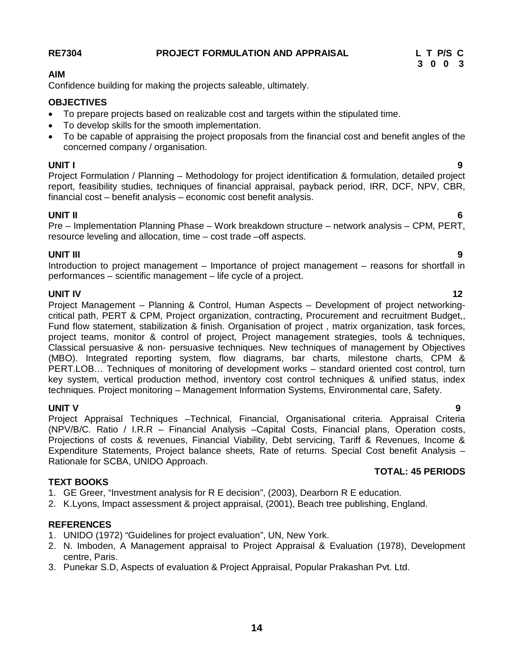# **RE7304 PROJECT FORMULATION AND APPRAISAL L T P/S C**

**14**

### **AIM**

Confidence building for making the projects saleable, ultimately.

# **OBJECTIVES**

- To prepare projects based on realizable cost and targets within the stipulated time.
- To develop skills for the smooth implementation.
- To be capable of appraising the project proposals from the financial cost and benefit angles of the concerned company / organisation.

### **UNIT I 9**

Project Formulation / Planning – Methodology for project identification & formulation, detailed project report, feasibility studies, techniques of financial appraisal, payback period, IRR, DCF, NPV, CBR, financial cost – benefit analysis – economic cost benefit analysis.

# **UNIT II 6**

Pre – Implementation Planning Phase – Work breakdown structure – network analysis – CPM, PERT, resource leveling and allocation, time – cost trade –off aspects.

# **UNIT III 9**

Introduction to project management – Importance of project management – reasons for shortfall in performances – scientific management – life cycle of a project.

**UNIT IV** 12 Project Management – Planning & Control, Human Aspects – Development of project networkingcritical path, PERT & CPM, Project organization, contracting, Procurement and recruitment Budget,, Fund flow statement, stabilization & finish. Organisation of project , matrix organization, task forces, project teams, monitor & control of project, Project management strategies, tools & techniques, Classical persuasive & non- persuasive techniques. New techniques of management by Objectives (MBO). Integrated reporting system, flow diagrams, bar charts, milestone charts, CPM & PERT.LOB… Techniques of monitoring of development works – standard oriented cost control, turn key system, vertical production method, inventory cost control techniques & unified status, index techniques. Project monitoring – Management Information Systems, Environmental care, Safety.

**UNIT V 9** Project Appraisal Techniques –Technical, Financial, Organisational criteria. Appraisal Criteria (NPV/B/C. Ratio / I.R.R – Financial Analysis –Capital Costs, Financial plans, Operation costs, Projections of costs & revenues, Financial Viability, Debt servicing, Tariff & Revenues, Income & Expenditure Statements, Project balance sheets, Rate of returns. Special Cost benefit Analysis – Rationale for SCBA, UNIDO Approach.

# **TEXT BOOKS**

- 1. GE Greer, "Investment analysis for R E decision", (2003), Dearborn R E education.
- 2. K.Lyons, Impact assessment & project appraisal, (2001), Beach tree publishing, England.

### **REFERENCES**

- 1. UNIDO (1972) "Guidelines for project evaluation", UN, New York.
- 2. N. Imboden, A Management appraisal to Project Appraisal & Evaluation (1978), Development centre, Paris.
- 3. Punekar S.D, Aspects of evaluation & Project Appraisal, Popular Prakashan Pvt. Ltd.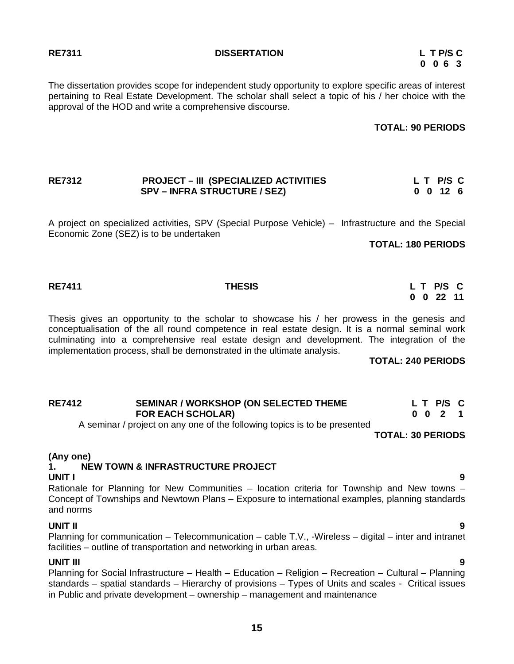### **RE7311 DISSERTATION L T P/S C**

# **0 0 6 3**

The dissertation provides scope for independent study opportunity to explore specific areas of interest pertaining to Real Estate Development. The scholar shall select a topic of his / her choice with the approval of the HOD and write a comprehensive discourse.

### **TOTAL: 90 PERIODS**

# **RE7312 PROJECT – III (SPECIALIZED ACTIVITIES L T P/S C SPV – INFRA STRUCTURE / SEZ) 0 0 12 6**

A project on specialized activities, SPV (Special Purpose Vehicle) – Infrastructure and the Special Economic Zone (SEZ) is to be undertaken

**TOTAL: 180 PERIODS**

Thesis gives an opportunity to the scholar to showcase his / her prowess in the genesis and conceptualisation of the all round competence in real estate design. It is a normal seminal work culminating into a comprehensive real estate design and development. The integration of the implementation process, shall be demonstrated in the ultimate analysis.

**TOTAL: 240 PERIODS**

| <b>RE7412</b> | SEMINAR / WORKSHOP (ON SELECTED THEME |  | LT P/S C |  |
|---------------|---------------------------------------|--|----------|--|
|               | <b>FOR EACH SCHOLAR)</b>              |  | 0021     |  |

A seminar / project on any one of the following topics is to be presented

**TOTAL: 30 PERIODS**

# **(Any one)**

### **1. NEW TOWN & INFRASTRUCTURE PROJECT UNIT I 9**

Rationale for Planning for New Communities – location criteria for Township and New towns – Concept of Townships and Newtown Plans – Exposure to international examples, planning standards and norms

# **UNIT II 9**

Planning for communication – Telecommunication – cable T.V., -Wireless – digital – inter and intranet facilities – outline of transportation and networking in urban areas.

**UNIT III 9** Planning for Social Infrastructure – Health – Education – Religion – Recreation – Cultural – Planning standards – spatial standards – Hierarchy of provisions – Types of Units and scales - Critical issues in Public and private development – ownership – management and maintenance

# **RE7411 THESIS L T P/S C**

 **0 0 22 11**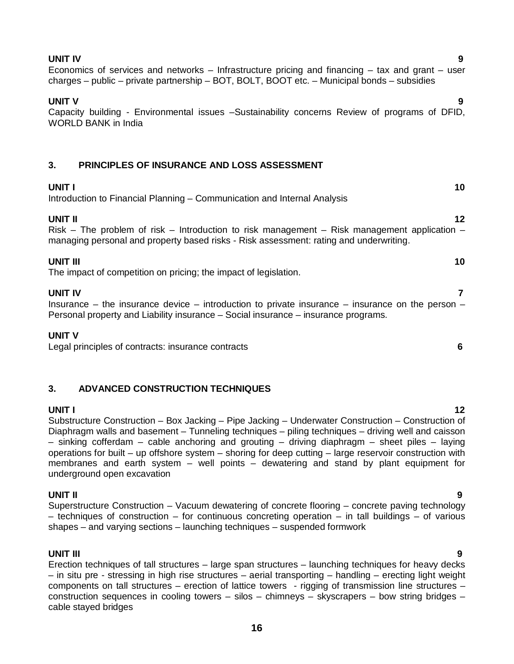# **UNIT IV 9**

Economics of services and networks – Infrastructure pricing and financing – tax and grant – user charges – public – private partnership – BOT, BOLT, BOOT etc. – Municipal bonds – subsidies

# **UNIT V 9**

Capacity building - Environmental issues –Sustainability concerns Review of programs of DFID, WORLD BANK in India

# **3. PRINCIPLES OF INSURANCE AND LOSS ASSESSMENT**

# **UNIT I** 10 Introduction to Financial Planning – Communication and Internal Analysis **UNIT II** 12 Risk – The problem of risk – Introduction to risk management – Risk management application – managing personal and property based risks - Risk assessment: rating and underwriting. **UNIT III** 10 The impact of competition on pricing; the impact of legislation.

**UNIT IV 7** Insurance – the insurance device – introduction to private insurance – insurance on the person – Personal property and Liability insurance – Social insurance – insurance programs.

# **UNIT V**

Legal principles of contracts: insurance contracts **6**

# **3. ADVANCED CONSTRUCTION TECHNIQUES**

**UNIT I** 12 Substructure Construction – Box Jacking – Pipe Jacking – Underwater Construction – Construction of Diaphragm walls and basement – Tunneling techniques – piling techniques – driving well and caisson – sinking cofferdam – cable anchoring and grouting – driving diaphragm – sheet piles – laying operations for built – up offshore system – shoring for deep cutting – large reservoir construction with membranes and earth system – well points – dewatering and stand by plant equipment for underground open excavation

# **UNIT II 9**

Superstructure Construction – Vacuum dewatering of concrete flooring – concrete paving technology  $-$  techniques of construction  $-$  for continuous concreting operation  $-$  in tall buildings  $-$  of various shapes – and varying sections – launching techniques – suspended formwork

# **UNIT III 9**

Erection techniques of tall structures – large span structures – launching techniques for heavy decks – in situ pre - stressing in high rise structures – aerial transporting – handling – erecting light weight components on tall structures – erection of lattice towers - rigging of transmission line structures – construction sequences in cooling towers – silos – chimneys – skyscrapers – bow string bridges – cable stayed bridges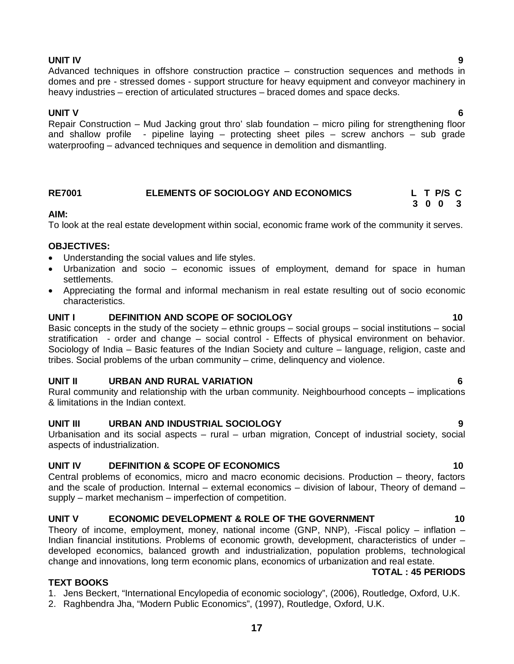# **UNIT IV 9**

Advanced techniques in offshore construction practice – construction sequences and methods in domes and pre - stressed domes - support structure for heavy equipment and conveyor machinery in heavy industries – erection of articulated structures – braced domes and space decks.

# **UNIT V 6**

Repair Construction – Mud Jacking grout thro' slab foundation – micro piling for strengthening floor and shallow profile - pipeline laying – protecting sheet piles – screw anchors – sub grade waterproofing – advanced techniques and sequence in demolition and dismantling.

# **RE7001 ELEMENTS OF SOCIOLOGY AND ECONOMICS L T P/S C**

# **AIM:**

To look at the real estate development within social, economic frame work of the community it serves.

# **OBJECTIVES:**

- Understanding the social values and life styles.
- Urbanization and socio economic issues of employment, demand for space in human settlements.
- Appreciating the formal and informal mechanism in real estate resulting out of socio economic characteristics.

# **UNIT I DEFINITION AND SCOPE OF SOCIOLOGY 10**

Basic concepts in the study of the society – ethnic groups – social groups – social institutions – social stratification - order and change – social control - Effects of physical environment on behavior. Sociology of India – Basic features of the Indian Society and culture – language, religion, caste and tribes. Social problems of the urban community – crime, delinquency and violence.

# **UNIT II URBAN AND RURAL VARIATION 6**

Rural community and relationship with the urban community. Neighbourhood concepts – implications & limitations in the Indian context.

# **UNIT III URBAN AND INDUSTRIAL SOCIOLOGY 9**

Urbanisation and its social aspects – rural – urban migration, Concept of industrial society, social aspects of industrialization.

# **UNIT IV DEFINITION & SCOPE OF ECONOMICS 10**

Central problems of economics, micro and macro economic decisions. Production – theory, factors and the scale of production. Internal – external economics – division of labour, Theory of demand – supply – market mechanism – imperfection of competition.

# **UNIT V ECONOMIC DEVELOPMENT & ROLE OF THE GOVERNMENT 10**

Theory of income, employment, money, national income (GNP, NNP), -Fiscal policy – inflation – Indian financial institutions. Problems of economic growth, development, characteristics of under – developed economics, balanced growth and industrialization, population problems, technological change and innovations, long term economic plans, economics of urbanization and real estate. **TOTAL : 45 PERIODS**

# **TEXT BOOKS**

1. Jens Beckert, "International Encylopedia of economic sociology", (2006), Routledge, Oxford, U.K.

**17**

2. Raghbendra Jha, "Modern Public Economics", (1997), Routledge, Oxford, U.K.

# **3 0 0 3**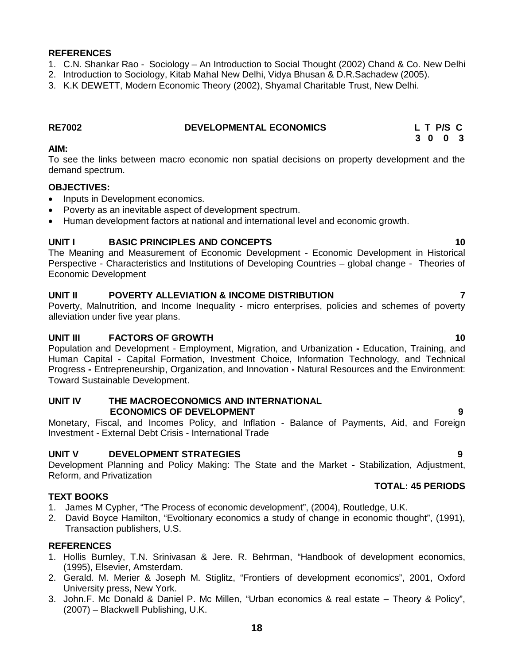### **REFERENCES**

- 1. C.N. Shankar Rao Sociology An Introduction to Social Thought (2002) Chand & Co. New Delhi
- 2. Introduction to Sociology, Kitab Mahal New Delhi, Vidya Bhusan & D.R.Sachadew (2005).
- 3. K.K DEWETT, Modern Economic Theory (2002), Shyamal Charitable Trust, New Delhi.

| <b>RE7002</b> | <b>DEVELOPMENTAL ECONOMICS</b> | L T P/S C |
|---------------|--------------------------------|-----------|
|               |                                |           |

### **AIM:**

To see the links between macro economic non spatial decisions on property development and the demand spectrum.

 **3 0 0 3**

### **OBJECTIVES:**

- Inputs in Development economics.
- Poverty as an inevitable aspect of development spectrum.
- Human development factors at national and international level and economic growth.

### **UNIT I BASIC PRINCIPLES AND CONCEPTS 10**

The Meaning and Measurement of Economic Development - Economic Development in Historical Perspective - Characteristics and Institutions of Developing Countries – global change - Theories of Economic Development

### **UNIT II POVERTY ALLEVIATION & INCOME DISTRIBUTION 7**

Poverty, Malnutrition, and Income Inequality - micro enterprises, policies and schemes of poverty alleviation under five year plans.

### **UNIT III FACTORS OF GROWTH 10**

Population and Development - Employment, Migration, and Urbanization **-** Education, Training, and Human Capital **-** Capital Formation, Investment Choice, Information Technology, and Technical Progress **-** Entrepreneurship, Organization, and Innovation **-** Natural Resources and the Environment: Toward Sustainable Development.

### **UNIT IV THE MACROECONOMICS AND INTERNATIONAL ECONOMICS OF DEVELOPMENT 9**

Monetary, Fiscal, and Incomes Policy, and Inflation - Balance of Payments, Aid, and Foreign Investment - External Debt Crisis - International Trade

### **UNIT V DEVELOPMENT STRATEGIES 9**

Development Planning and Policy Making: The State and the Market **-** Stabilization, Adjustment, Reform, and Privatization **TOTAL: 45 PERIODS**

### **TEXT BOOKS**

- 1. James M Cypher, "The Process of economic development", (2004), Routledge, U.K.
- 2. David Boyce Hamilton, "Evoltionary economics a study of change in economic thought", (1991), Transaction publishers, U.S.

### **REFERENCES**

- 1. Hollis Burnley, T.N. Srinivasan & Jere. R. Behrman, "Handbook of development economics, (1995), Elsevier, Amsterdam.
- 2. Gerald. M. Merier & Joseph M. Stiglitz, "Frontiers of development economics", 2001, Oxford University press, New York.
- 3. John.F. Mc Donald & Daniel P. Mc Millen, "Urban economics & real estate Theory & Policy", (2007) – Blackwell Publishing, U.K.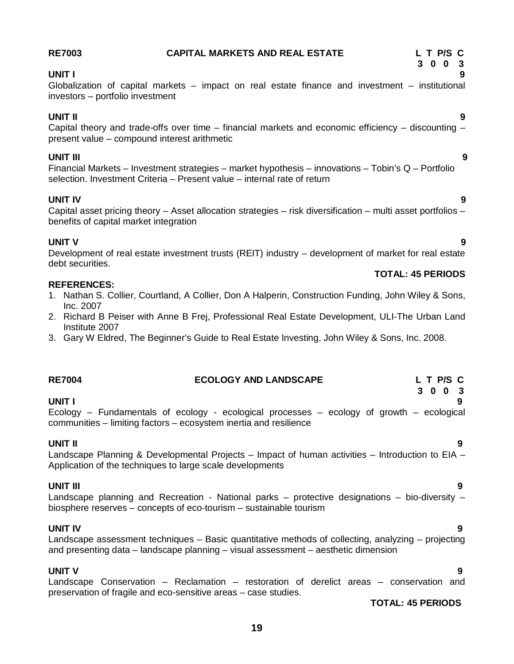# **3 0 0 3 UNIT I 9**

# Globalization of capital markets – impact on real estate finance and investment – institutional investors – portfolio investment

**RE7003 CAPITAL MARKETS AND REAL ESTATE L T P/S C** 

### **UNIT II 9** Capital theory and trade-offs over time  $-$  financial markets and economic efficiency  $-$  discounting  $$ present value – compound interest arithmetic

# **UNIT III 9**

Financial Markets – Investment strategies – market hypothesis – innovations – Tobin's Q – Portfolio selection. Investment Criteria – Present value – internal rate of return

**UNIT IV 9** Capital asset pricing theory – Asset allocation strategies – risk diversification – multi asset portfolios – benefits of capital market integration

# **UNIT V 9**

Development of real estate investment trusts (REIT) industry – development of market for real estate debt securities.

# **REFERENCES:**

- 1. Nathan S. Collier, Courtland, A Collier, Don A Halperin, Construction Funding, John Wiley & Sons, Inc. 2007
- 2. Richard B Peiser with Anne B Frej, Professional Real Estate Development, ULI-The Urban Land Institute 2007
- 3. Gary W Eldred, The Beginner's Guide to Real Estate Investing, John Wiley & Sons, Inc. 2008.

| <b>RE7004</b> | <b>ECOLOGY AND LANDSCAPE</b>                                                                                                                                   | L T P/S C |
|---------------|----------------------------------------------------------------------------------------------------------------------------------------------------------------|-----------|
|               |                                                                                                                                                                | 3 0 0 3   |
| UNIT I        |                                                                                                                                                                |           |
|               | Ecology – Fundamentals of ecology - ecological processes – ecology of growth – ecological<br>communities – limiting factors – ecosystem inertia and resilience |           |
| UNIT II       |                                                                                                                                                                |           |
|               | Landscape Planning & Developmental Projects – Impact of human activities – Introduction to EIA –                                                               |           |
|               | Application of the techniques to large scale developments                                                                                                      |           |

**UNIT III 9** Landscape planning and Recreation - National parks – protective designations – bio-diversity – biosphere reserves – concepts of eco-tourism – sustainable tourism

# **UNIT IV 9**

Landscape assessment techniques – Basic quantitative methods of collecting, analyzing – projecting and presenting data – landscape planning – visual assessment – aesthetic dimension

# **UNIT V 9**

Landscape Conservation – Reclamation – restoration of derelict areas – conservation and preservation of fragile and eco-sensitive areas – case studies.

# **TOTAL: 45 PERIODS**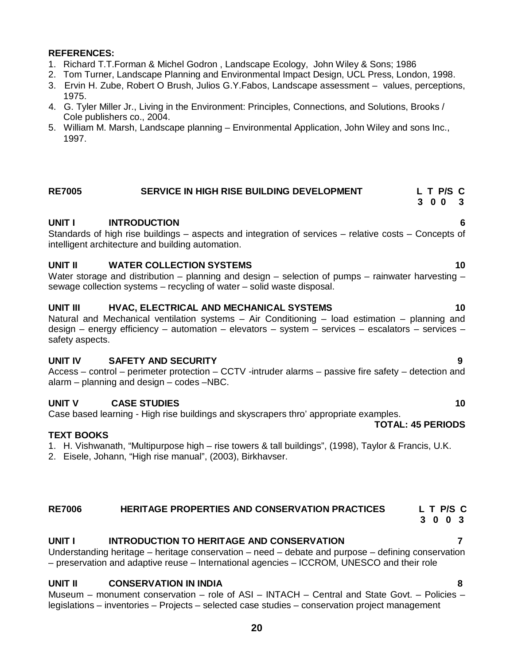### **REFERENCES:**

- 1. Richard T.T.Forman & Michel Godron , Landscape Ecology, John Wiley & Sons; 1986
- 2. Tom Turner, Landscape Planning and Environmental Impact Design, UCL Press, London, 1998.
- 3. Ervin H. Zube, Robert O Brush, Julios G.Y.Fabos, Landscape assessment values, perceptions, 1975.
- 4. G. Tyler Miller Jr., Living in the Environment: Principles, Connections, and Solutions, Brooks / Cole publishers co., 2004.
- 5. William M. Marsh, Landscape planning Environmental Application, John Wiley and sons Inc., 1997.

# **RE7005 SERVICE IN HIGH RISE BUILDING DEVELOPMENT L T P/S C**

# **UNIT I INTRODUCTION 6**

Standards of high rise buildings – aspects and integration of services – relative costs – Concepts of intelligent architecture and building automation.

# **UNIT II WATER COLLECTION SYSTEMS 10**

Water storage and distribution – planning and design – selection of pumps – rainwater harvesting – sewage collection systems – recycling of water – solid waste disposal.

### **UNIT III HVAC, ELECTRICAL AND MECHANICAL SYSTEMS 10**

Natural and Mechanical ventilation systems – Air Conditioning – load estimation – planning and design – energy efficiency – automation – elevators – system – services – escalators – services – safety aspects.

# **UNIT IV SAFETY AND SECURITY 9**

Access – control – perimeter protection – CCTV -intruder alarms – passive fire safety – detection and alarm – planning and design – codes –NBC.

# **UNIT V CASE STUDIES 10**

Case based learning - High rise buildings and skyscrapers thro' appropriate examples. **TOTAL: 45 PERIODS**

# **TEXT BOOKS**

- 1. H. Vishwanath, "Multipurpose high rise towers & tall buildings", (1998), Taylor & Francis, U.K.
- 2. Eisele, Johann, "High rise manual", (2003), Birkhavser.

# **RE7006 HERITAGE PROPERTIES AND CONSERVATION PRACTICES L T P/S C**

# **3 0 0 3**

# **UNIT I INTRODUCTION TO HERITAGE AND CONSERVATION 7**

Understanding heritage – heritage conservation – need – debate and purpose – defining conservation – preservation and adaptive reuse – International agencies – ICCROM, UNESCO and their role

# **UNIT II CONSERVATION IN INDIA 8**

Museum – monument conservation – role of ASI – INTACH – Central and State Govt. – Policies – legislations – inventories – Projects – selected case studies – conservation project management

- **3 0 0 3**
	-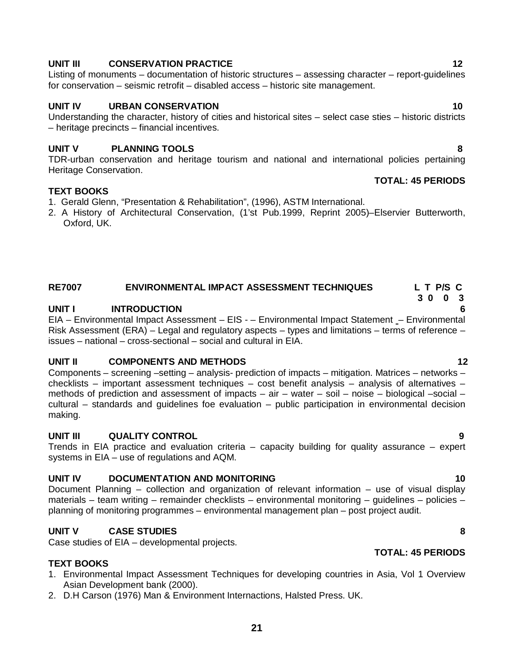# **UNIT III CONSERVATION PRACTICE 12**

Listing of monuments – documentation of historic structures – assessing character – report-guidelines for conservation – seismic retrofit – disabled access – historic site management.

# **UNIT IV URBAN CONSERVATION 10**

Understanding the character, history of cities and historical sites – select case sties – historic districts – heritage precincts – financial incentives.

# **UNIT V PLANNING TOOLS 8**

TDR-urban conservation and heritage tourism and national and international policies pertaining Heritage Conservation. **TOTAL: 45 PERIODS**

# **TEXT BOOKS**

- 1. Gerald Glenn, "Presentation & Rehabilitation", (1996), ASTM International.
- 2. A History of Architectural Conservation, (1'st Pub.1999, Reprint 2005)–Elservier Butterworth, Oxford, UK.

# **RE7007 ENVIRONMENTAL IMPACT ASSESSMENT TECHNIQUES L T P/S C**

# **UNIT I INTRODUCTION 6**

EIA – Environmental Impact Assessment – EIS - – Environmental Impact Statement – Environmental Risk Assessment (ERA) – Legal and regulatory aspects – types and limitations – terms of reference – issues – national – cross-sectional – social and cultural in EIA.

# **UNIT II COMPONENTS AND METHODS 12**

Components – screening –setting – analysis- prediction of impacts – mitigation. Matrices – networks – checklists – important assessment techniques – cost benefit analysis – analysis of alternatives – methods of prediction and assessment of impacts – air – water – soil – noise – biological –social – cultural – standards and guidelines foe evaluation – public participation in environmental decision making.

# **UNIT III QUALITY CONTROL 9**

Trends in EIA practice and evaluation criteria – capacity building for quality assurance – expert systems in EIA – use of regulations and AQM.

# **UNIT IV DOCUMENTATION AND MONITORING 10**

Document Planning – collection and organization of relevant information – use of visual display materials – team writing – remainder checklists – environmental monitoring – guidelines – policies – planning of monitoring programmes – environmental management plan – post project audit.

# **UNIT V CASE STUDIES 8**

Case studies of EIA – developmental projects.

# **TEXT BOOKS**

- 1. Environmental Impact Assessment Techniques for developing countries in Asia, Vol 1 Overview Asian Development bank (2000).
- 2. D.H Carson (1976) Man & Environment Internactions, Halsted Press. UK.

# **TOTAL: 45 PERIODS**

 **3 0 0 3**